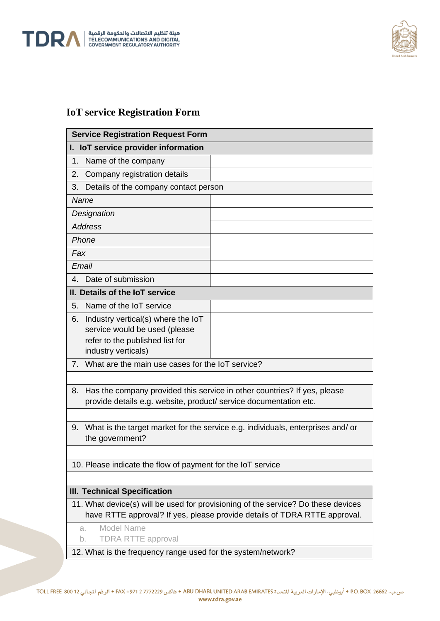

L



## **IoT service Registration Form**

| <b>Service Registration Request Form</b>                                             |  |
|--------------------------------------------------------------------------------------|--|
| I. IoT service provider information                                                  |  |
| Name of the company<br>1.                                                            |  |
| Company registration details<br>2.                                                   |  |
| Details of the company contact person<br>3.                                          |  |
| Name                                                                                 |  |
| Designation                                                                          |  |
| <b>Address</b>                                                                       |  |
| Phone                                                                                |  |
| Fax                                                                                  |  |
| Email                                                                                |  |
| 4. Date of submission                                                                |  |
| II. Details of the IoT service                                                       |  |
| Name of the IoT service<br>5.                                                        |  |
| Industry vertical(s) where the IoT<br>6.                                             |  |
| service would be used (please                                                        |  |
| refer to the published list for                                                      |  |
| industry verticals)                                                                  |  |
| What are the main use cases for the IoT service?<br>$7_{\cdot}$                      |  |
|                                                                                      |  |
| Has the company provided this service in other countries? If yes, please<br>8.       |  |
| provide details e.g. website, product/ service documentation etc.                    |  |
|                                                                                      |  |
| What is the target market for the service e.g. individuals, enterprises and/or<br>9. |  |
| the government?                                                                      |  |
| 10. Please indicate the flow of payment for the IoT service                          |  |
|                                                                                      |  |
| <b>III. Technical Specification</b>                                                  |  |
| 11. What device(s) will be used for provisioning of the service? Do these devices    |  |
| have RTTE approval? If yes, please provide details of TDRA RTTE approval.            |  |
| Model Name<br>a.                                                                     |  |
| <b>TDRA RTTE approval</b><br>b.                                                      |  |
| 12. What is the frequency range used for the system/network?                         |  |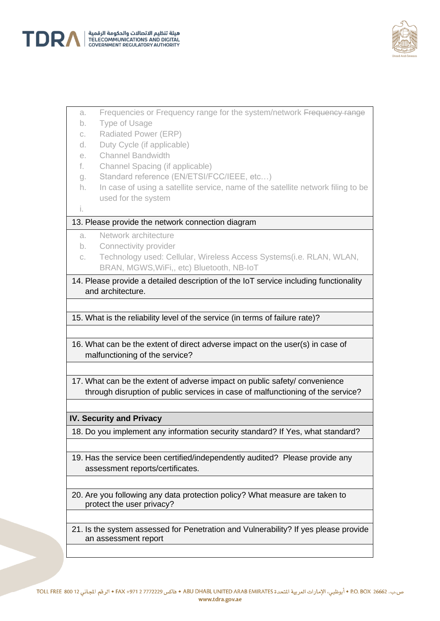



- a. Frequencies or Frequency range for the system/network Frequency range
- b. Type of Usage
- c. Radiated Power (ERP)
- d. Duty Cycle (if applicable)
- e. Channel Bandwidth
- f. Channel Spacing (if applicable)
- g. Standard reference (EN/ETSI/FCC/IEEE, etc…)
- h. In case of using a satellite service, name of the satellite network filing to be used for the system

i.

## 13. Please provide the network connection diagram

- a. Network architecture
- b. Connectivity provider
- c. Technology used: Cellular, Wireless Access Systems(i.e. RLAN, WLAN, BRAN, MGWS,WiFi,, etc) Bluetooth, NB-IoT

14. Please provide a detailed description of the IoT service including functionality and architecture.

15. What is the reliability level of the service (in terms of failure rate)?

16. What can be the extent of direct adverse impact on the user(s) in case of malfunctioning of the service?

17. What can be the extent of adverse impact on public safety/ convenience through disruption of public services in case of malfunctioning of the service?

## **IV. Security and Privacy**

18. Do you implement any information security standard? If Yes, what standard?

- 19. Has the service been certified/independently audited? Please provide any assessment reports/certificates.
- 20. Are you following any data protection policy? What measure are taken to protect the user privacy?
- 21. Is the system assessed for Penetration and Vulnerability? If yes please provide an assessment report